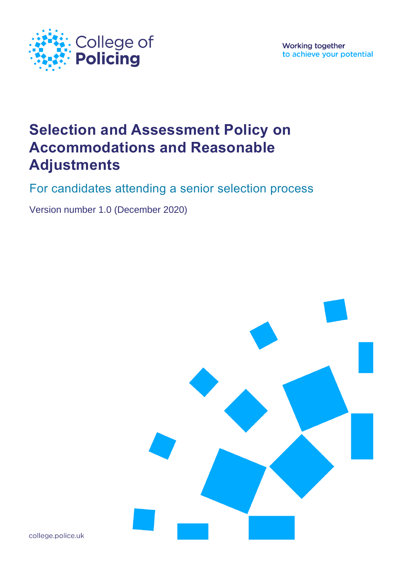

**Working together** to achieve your potential

# **Selection and Assessment Policy on Accommodations and Reasonable Adjustments**

For candidates attending a senior selection process

Version number 1.0 (December 2020)



college.police.uk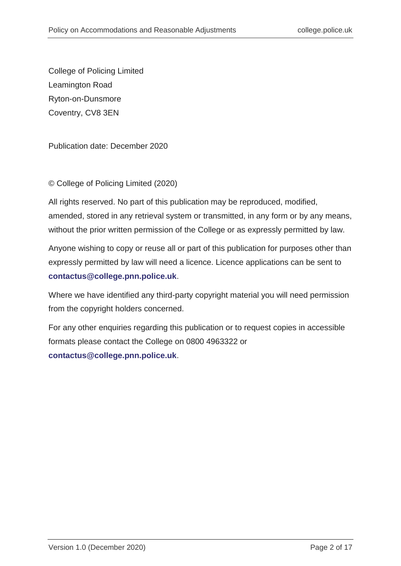College of Policing Limited Leamington Road Ryton-on-Dunsmore Coventry, CV8 3EN

Publication date: December 2020

© College of Policing Limited (2020)

All rights reserved. No part of this publication may be reproduced, modified, amended, stored in any retrieval system or transmitted, in any form or by any means, without the prior written permission of the College or as expressly permitted by law.

Anyone wishing to copy or reuse all or part of this publication for purposes other than expressly permitted by law will need a licence. Licence applications can be sent to **[contactus@college.pnn.police.uk](mailto:contactus@college.pnn.police.uk)**.

Where we have identified any third-party copyright material you will need permission from the copyright holders concerned.

For any other enquiries regarding this publication or to request copies in accessible formats please contact the College on 0800 4963322 or **[contactus@college.pnn.police.uk](mailto:contactus@college.pnn.police.uk)**.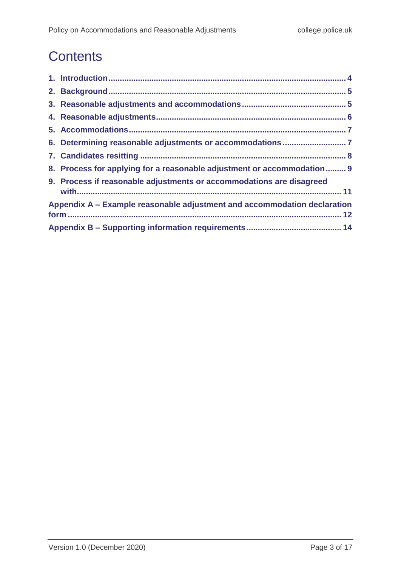# **Contents**

| 8. Process for applying for a reasonable adjustment or accommodation 9   |  |
|--------------------------------------------------------------------------|--|
| 9. Process if reasonable adjustments or accommodations are disagreed     |  |
| Appendix A – Example reasonable adjustment and accommodation declaration |  |
|                                                                          |  |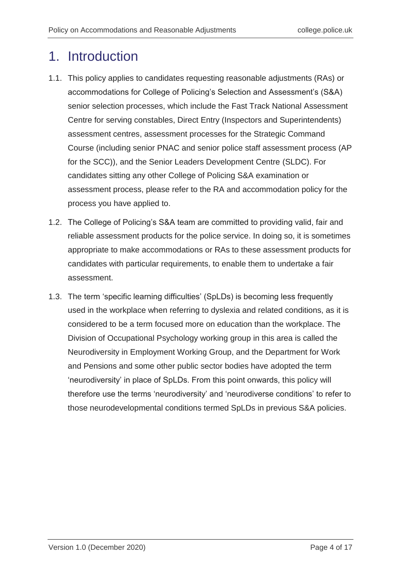# <span id="page-3-0"></span>1. Introduction

- 1.1. This policy applies to candidates requesting reasonable adjustments (RAs) or accommodations for College of Policing's Selection and Assessment's (S&A) senior selection processes, which include the Fast Track National Assessment Centre for serving constables, Direct Entry (Inspectors and Superintendents) assessment centres, assessment processes for the Strategic Command Course (including senior PNAC and senior police staff assessment process (AP for the SCC)), and the Senior Leaders Development Centre (SLDC). For candidates sitting any other College of Policing S&A examination or assessment process, please refer to the RA and accommodation policy for the process you have applied to.
- 1.2. The College of Policing's S&A team are committed to providing valid, fair and reliable assessment products for the police service. In doing so, it is sometimes appropriate to make accommodations or RAs to these assessment products for candidates with particular requirements, to enable them to undertake a fair assessment.
- 1.3. The term 'specific learning difficulties' (SpLDs) is becoming less frequently used in the workplace when referring to dyslexia and related conditions, as it is considered to be a term focused more on education than the workplace. The Division of Occupational Psychology working group in this area is called the Neurodiversity in Employment Working Group, and the Department for Work and Pensions and some other public sector bodies have adopted the term 'neurodiversity' in place of SpLDs. From this point onwards, this policy will therefore use the terms 'neurodiversity' and 'neurodiverse conditions' to refer to those neurodevelopmental conditions termed SpLDs in previous S&A policies.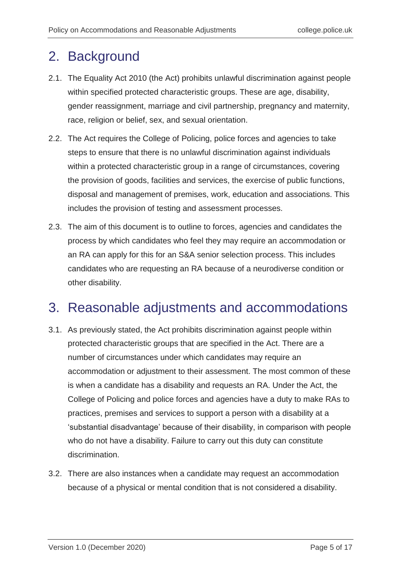## <span id="page-4-0"></span>2. Background

- 2.1. The Equality Act 2010 (the Act) prohibits unlawful discrimination against people within specified protected characteristic groups. These are age, disability, gender reassignment, marriage and civil partnership, pregnancy and maternity, race, religion or belief, sex, and sexual orientation.
- 2.2. The Act requires the College of Policing, police forces and agencies to take steps to ensure that there is no unlawful discrimination against individuals within a protected characteristic group in a range of circumstances, covering the provision of goods, facilities and services, the exercise of public functions, disposal and management of premises, work, education and associations. This includes the provision of testing and assessment processes.
- 2.3. The aim of this document is to outline to forces, agencies and candidates the process by which candidates who feel they may require an accommodation or an RA can apply for this for an S&A senior selection process. This includes candidates who are requesting an RA because of a neurodiverse condition or other disability.

### <span id="page-4-1"></span>3. Reasonable adjustments and accommodations

- 3.1. As previously stated, the Act prohibits discrimination against people within protected characteristic groups that are specified in the Act. There are a number of circumstances under which candidates may require an accommodation or adjustment to their assessment. The most common of these is when a candidate has a disability and requests an RA. Under the Act, the College of Policing and police forces and agencies have a duty to make RAs to practices, premises and services to support a person with a disability at a 'substantial disadvantage' because of their disability, in comparison with people who do not have a disability. Failure to carry out this duty can constitute discrimination.
- 3.2. There are also instances when a candidate may request an accommodation because of a physical or mental condition that is not considered a disability.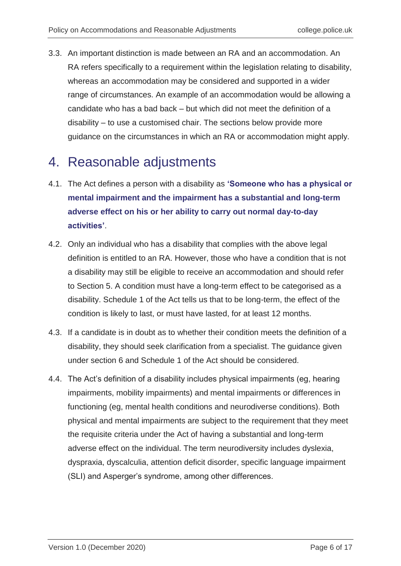3.3. An important distinction is made between an RA and an accommodation. An RA refers specifically to a requirement within the legislation relating to disability, whereas an accommodation may be considered and supported in a wider range of circumstances. An example of an accommodation would be allowing a candidate who has a bad back – but which did not meet the definition of a disability – to use a customised chair. The sections below provide more guidance on the circumstances in which an RA or accommodation might apply.

## <span id="page-5-0"></span>4. Reasonable adjustments

- 4.1. The Act defines a person with a disability as **'Someone who has a physical or mental impairment and the impairment has a substantial and long-term adverse effect on his or her ability to carry out normal day-to-day activities'**.
- 4.2. Only an individual who has a disability that complies with the above legal definition is entitled to an RA. However, those who have a condition that is not a disability may still be eligible to receive an accommodation and should refer to Section 5. A condition must have a long-term effect to be categorised as a disability. Schedule 1 of the Act tells us that to be long-term, the effect of the condition is likely to last, or must have lasted, for at least 12 months.
- 4.3. If a candidate is in doubt as to whether their condition meets the definition of a disability, they should seek clarification from a specialist. The guidance given under section 6 and Schedule 1 of the Act should be considered.
- 4.4. The Act's definition of a disability includes physical impairments (eg, hearing impairments, mobility impairments) and mental impairments or differences in functioning (eg, mental health conditions and neurodiverse conditions). Both physical and mental impairments are subject to the requirement that they meet the requisite criteria under the Act of having a substantial and long-term adverse effect on the individual. The term neurodiversity includes dyslexia, dyspraxia, dyscalculia, attention deficit disorder, specific language impairment (SLI) and Asperger's syndrome, among other differences.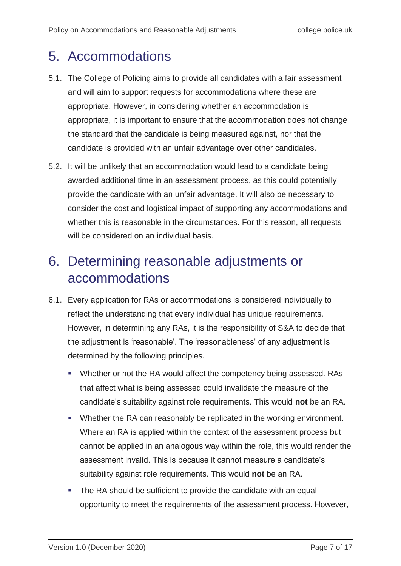## <span id="page-6-0"></span>5. Accommodations

- 5.1. The College of Policing aims to provide all candidates with a fair assessment and will aim to support requests for accommodations where these are appropriate. However, in considering whether an accommodation is appropriate, it is important to ensure that the accommodation does not change the standard that the candidate is being measured against, nor that the candidate is provided with an unfair advantage over other candidates.
- 5.2. It will be unlikely that an accommodation would lead to a candidate being awarded additional time in an assessment process, as this could potentially provide the candidate with an unfair advantage. It will also be necessary to consider the cost and logistical impact of supporting any accommodations and whether this is reasonable in the circumstances. For this reason, all requests will be considered on an individual basis.

# <span id="page-6-1"></span>6. Determining reasonable adjustments or accommodations

- 6.1. Every application for RAs or accommodations is considered individually to reflect the understanding that every individual has unique requirements. However, in determining any RAs, it is the responsibility of S&A to decide that the adjustment is 'reasonable'. The 'reasonableness' of any adjustment is determined by the following principles.
	- Whether or not the RA would affect the competency being assessed. RAs that affect what is being assessed could invalidate the measure of the candidate's suitability against role requirements. This would **not** be an RA.
	- **Whether the RA can reasonably be replicated in the working environment.** Where an RA is applied within the context of the assessment process but cannot be applied in an analogous way within the role, this would render the assessment invalid. This is because it cannot measure a candidate's suitability against role requirements. This would **not** be an RA.
	- **The RA should be sufficient to provide the candidate with an equal** opportunity to meet the requirements of the assessment process. However,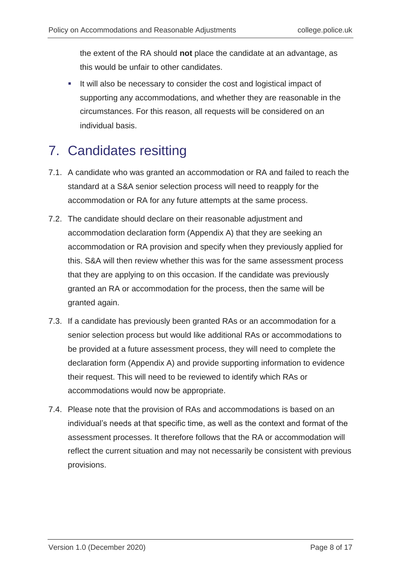the extent of the RA should **not** place the candidate at an advantage, as this would be unfair to other candidates.

It will also be necessary to consider the cost and logistical impact of supporting any accommodations, and whether they are reasonable in the circumstances. For this reason, all requests will be considered on an individual basis.

# <span id="page-7-0"></span>7. Candidates resitting

- 7.1. A candidate who was granted an accommodation or RA and failed to reach the standard at a S&A senior selection process will need to reapply for the accommodation or RA for any future attempts at the same process.
- 7.2. The candidate should declare on their reasonable adjustment and accommodation declaration form (Appendix A) that they are seeking an accommodation or RA provision and specify when they previously applied for this. S&A will then review whether this was for the same assessment process that they are applying to on this occasion. If the candidate was previously granted an RA or accommodation for the process, then the same will be granted again.
- 7.3. If a candidate has previously been granted RAs or an accommodation for a senior selection process but would like additional RAs or accommodations to be provided at a future assessment process, they will need to complete the declaration form (Appendix A) and provide supporting information to evidence their request. This will need to be reviewed to identify which RAs or accommodations would now be appropriate.
- 7.4. Please note that the provision of RAs and accommodations is based on an individual's needs at that specific time, as well as the context and format of the assessment processes. It therefore follows that the RA or accommodation will reflect the current situation and may not necessarily be consistent with previous provisions.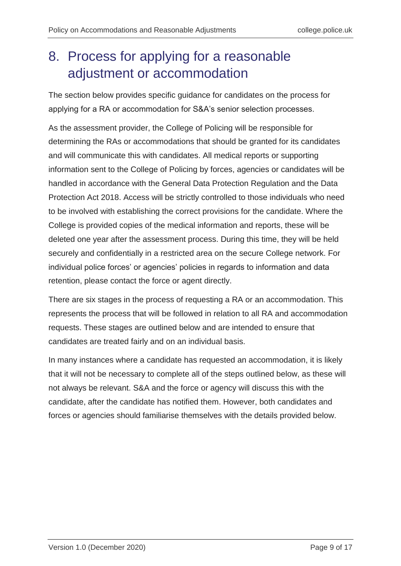# <span id="page-8-0"></span>8. Process for applying for a reasonable adjustment or accommodation

The section below provides specific guidance for candidates on the process for applying for a RA or accommodation for S&A's senior selection processes.

As the assessment provider, the College of Policing will be responsible for determining the RAs or accommodations that should be granted for its candidates and will communicate this with candidates. All medical reports or supporting information sent to the College of Policing by forces, agencies or candidates will be handled in accordance with the General Data Protection Regulation and the Data Protection Act 2018. Access will be strictly controlled to those individuals who need to be involved with establishing the correct provisions for the candidate. Where the College is provided copies of the medical information and reports, these will be deleted one year after the assessment process. During this time, they will be held securely and confidentially in a restricted area on the secure College network. For individual police forces' or agencies' policies in regards to information and data retention, please contact the force or agent directly.

There are six stages in the process of requesting a RA or an accommodation. This represents the process that will be followed in relation to all RA and accommodation requests. These stages are outlined below and are intended to ensure that candidates are treated fairly and on an individual basis.

In many instances where a candidate has requested an accommodation, it is likely that it will not be necessary to complete all of the steps outlined below, as these will not always be relevant. S&A and the force or agency will discuss this with the candidate, after the candidate has notified them. However, both candidates and forces or agencies should familiarise themselves with the details provided below.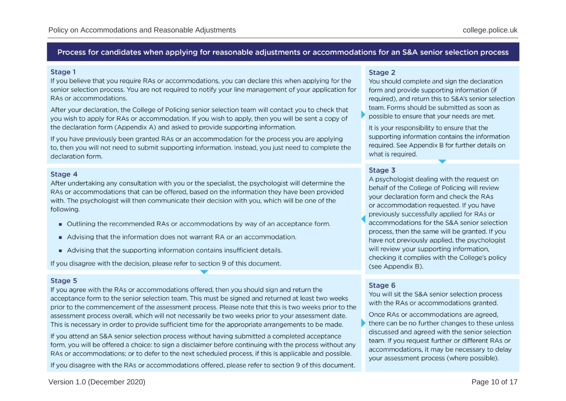#### Process for candidates when applying for reasonable adjustments or accommodations for an S&A senior selection process

#### Stage 1

If you believe that you require RAs or accommodations, you can declare this when applying for the senior selection process. You are not required to notify your line management of your application for RAs or accommodations.

After your declaration, the College of Policing senior selection team will contact you to check that you wish to apply for RAs or accommodation. If you wish to apply, then you will be sent a copy of the declaration form (Appendix A) and asked to provide supporting information.

If you have previously been granted RAs or an accommodation for the process you are applying to, then you will not need to submit supporting information. Instead, you just need to complete the declaration form.

#### Stage 4

After undertaking any consultation with you or the specialist, the psychologist will determine the RAs or accommodations that can be offered, based on the information they have been provided with. The psychologist will then communicate their decision with you, which will be one of the following.

- Outlining the recommended RAs or accommodations by way of an acceptance form.
- Advising that the information does not warrant RA or an accommodation.
- Advising that the supporting information contains insufficient details.

If you disagree with the decision, please refer to section 9 of this document.

#### Stage 5

If you agree with the RAs or accommodations offered, then you should sign and return the acceptance form to the senior selection team. This must be signed and returned at least two weeks prior to the commencement of the assessment process. Please note that this is two weeks prior to the assessment process overall, which will not necessarily be two weeks prior to your assessment date. This is necessary in order to provide sufficient time for the appropriate arrangements to be made.

If you attend an S&A senior selection process without having submitted a completed acceptance form, you will be offered a choice: to sign a disclaimer before continuing with the process without any RAs or accommodations; or to defer to the next scheduled process, if this is applicable and possible.

If you disagree with the RAs or accommodations offered, please refer to section 9 of this document.

#### Stage 2

You should complete and sign the declaration form and provide supporting information (if required), and return this to S&A's senior selection team. Forms should be submitted as soon as possible to ensure that your needs are met.

It is your responsibility to ensure that the supporting information contains the information required. See Appendix B for further details on what is required.

#### Stage 3

A psychologist dealing with the request on behalf of the College of Policing will review your declaration form and check the RAs or accommodation requested. If you have previously successfully applied for RAs or accommodations for the S&A senior selection process, then the same will be granted. If you have not previously applied, the psychologist will review your supporting information, checking it complies with the College's policy (see Appendix B).

#### Stage 6

You will sit the S&A senior selection process with the RAs or accommodations granted.

Once RAs or accommodations are agreed. there can be no further changes to these unless discussed and agreed with the senior selection team. If you request further or different RAs or accommodations, it may be necessary to delay your assessment process (where possible).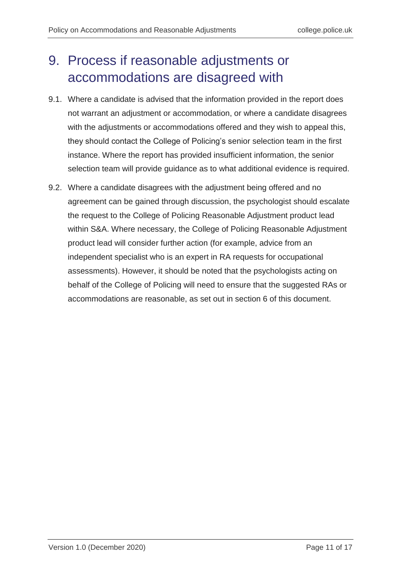# <span id="page-10-0"></span>9. Process if reasonable adjustments or accommodations are disagreed with

- 9.1. Where a candidate is advised that the information provided in the report does not warrant an adjustment or accommodation, or where a candidate disagrees with the adjustments or accommodations offered and they wish to appeal this, they should contact the College of Policing's senior selection team in the first instance. Where the report has provided insufficient information, the senior selection team will provide guidance as to what additional evidence is required.
- 9.2. Where a candidate disagrees with the adjustment being offered and no agreement can be gained through discussion, the psychologist should escalate the request to the College of Policing Reasonable Adjustment product lead within S&A. Where necessary, the College of Policing Reasonable Adjustment product lead will consider further action (for example, advice from an independent specialist who is an expert in RA requests for occupational assessments). However, it should be noted that the psychologists acting on behalf of the College of Policing will need to ensure that the suggested RAs or accommodations are reasonable, as set out in section 6 of this document.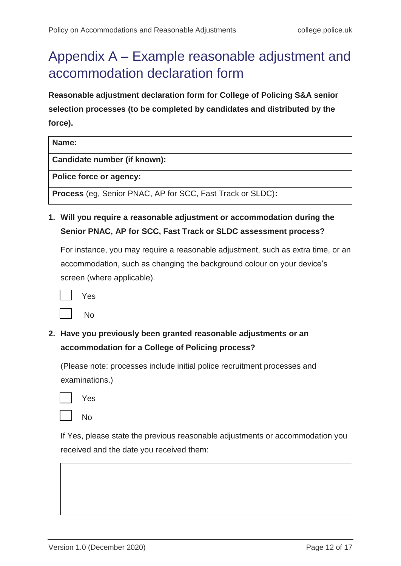# <span id="page-11-0"></span>Appendix A – Example reasonable adjustment and accommodation declaration form

**Reasonable adjustment declaration form for College of Policing S&A senior selection processes (to be completed by candidates and distributed by the force).**

| Name:                                                             |
|-------------------------------------------------------------------|
| Candidate number (if known):                                      |
| Police force or agency:                                           |
| <b>Process</b> (eg, Senior PNAC, AP for SCC, Fast Track or SLDC): |

**1. Will you require a reasonable adjustment or accommodation during the Senior PNAC, AP for SCC, Fast Track or SLDC assessment process?**

For instance, you may require a reasonable adjustment, such as extra time, or an accommodation, such as changing the background colour on your device's screen (where applicable).

| Yes |
|-----|
| No  |

**2. Have you previously been granted reasonable adjustments or an accommodation for a College of Policing process?** 

(Please note: processes include initial police recruitment processes and examinations.)



No

If Yes, please state the previous reasonable adjustments or accommodation you received and the date you received them: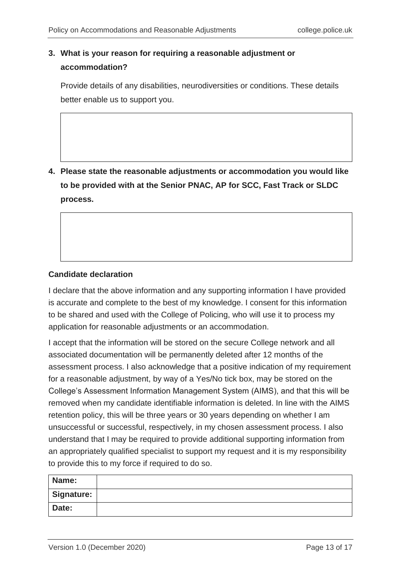### **3. What is your reason for requiring a reasonable adjustment or accommodation?**

Provide details of any disabilities, neurodiversities or conditions. These details better enable us to support you.

**4. Please state the reasonable adjustments or accommodation you would like to be provided with at the Senior PNAC, AP for SCC, Fast Track or SLDC process.**

### **Candidate declaration**

I declare that the above information and any supporting information I have provided is accurate and complete to the best of my knowledge. I consent for this information to be shared and used with the College of Policing, who will use it to process my application for reasonable adjustments or an accommodation.

I accept that the information will be stored on the secure College network and all associated documentation will be permanently deleted after 12 months of the assessment process. I also acknowledge that a positive indication of my requirement for a reasonable adjustment, by way of a Yes/No tick box, may be stored on the College's Assessment Information Management System (AIMS), and that this will be removed when my candidate identifiable information is deleted. In line with the AIMS retention policy, this will be three years or 30 years depending on whether I am unsuccessful or successful, respectively, in my chosen assessment process. I also understand that I may be required to provide additional supporting information from an appropriately qualified specialist to support my request and it is my responsibility to provide this to my force if required to do so.

| Name:      |  |
|------------|--|
| Signature: |  |
| Date:      |  |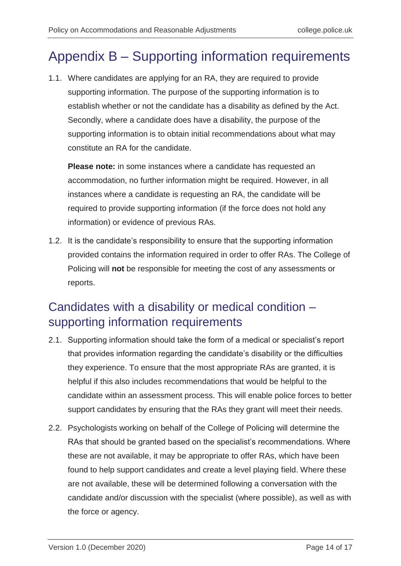## <span id="page-13-0"></span>Appendix B – Supporting information requirements

1.1. Where candidates are applying for an RA, they are required to provide supporting information. The purpose of the supporting information is to establish whether or not the candidate has a disability as defined by the Act. Secondly, where a candidate does have a disability, the purpose of the supporting information is to obtain initial recommendations about what may constitute an RA for the candidate.

**Please note:** in some instances where a candidate has requested an accommodation, no further information might be required. However, in all instances where a candidate is requesting an RA, the candidate will be required to provide supporting information (if the force does not hold any information) or evidence of previous RAs.

1.2. It is the candidate's responsibility to ensure that the supporting information provided contains the information required in order to offer RAs. The College of Policing will **not** be responsible for meeting the cost of any assessments or reports.

### Candidates with a disability or medical condition – supporting information requirements

- 2.1. Supporting information should take the form of a medical or specialist's report that provides information regarding the candidate's disability or the difficulties they experience. To ensure that the most appropriate RAs are granted, it is helpful if this also includes recommendations that would be helpful to the candidate within an assessment process. This will enable police forces to better support candidates by ensuring that the RAs they grant will meet their needs.
- 2.2. Psychologists working on behalf of the College of Policing will determine the RAs that should be granted based on the specialist's recommendations. Where these are not available, it may be appropriate to offer RAs, which have been found to help support candidates and create a level playing field. Where these are not available, these will be determined following a conversation with the candidate and/or discussion with the specialist (where possible), as well as with the force or agency.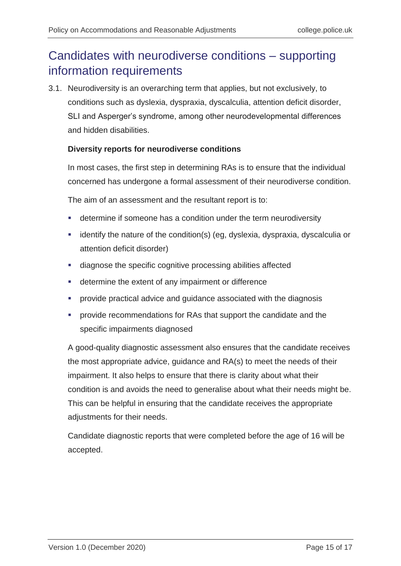### Candidates with neurodiverse conditions – supporting information requirements

3.1. Neurodiversity is an overarching term that applies, but not exclusively, to conditions such as dyslexia, dyspraxia, dyscalculia, attention deficit disorder, SLI and Asperger's syndrome, among other neurodevelopmental differences and hidden disabilities.

### **Diversity reports for neurodiverse conditions**

In most cases, the first step in determining RAs is to ensure that the individual concerned has undergone a formal assessment of their neurodiverse condition.

The aim of an assessment and the resultant report is to:

- determine if someone has a condition under the term neurodiversity
- **EXT** identify the nature of the condition(s) (eg, dyslexia, dyspraxia, dyscalculia or attention deficit disorder)
- **diagnose the specific cognitive processing abilities affected**
- **EXEC** determine the extent of any impairment or difference
- provide practical advice and guidance associated with the diagnosis
- provide recommendations for RAs that support the candidate and the specific impairments diagnosed

A good-quality diagnostic assessment also ensures that the candidate receives the most appropriate advice, guidance and RA(s) to meet the needs of their impairment. It also helps to ensure that there is clarity about what their condition is and avoids the need to generalise about what their needs might be. This can be helpful in ensuring that the candidate receives the appropriate adjustments for their needs.

Candidate diagnostic reports that were completed before the age of 16 will be accepted.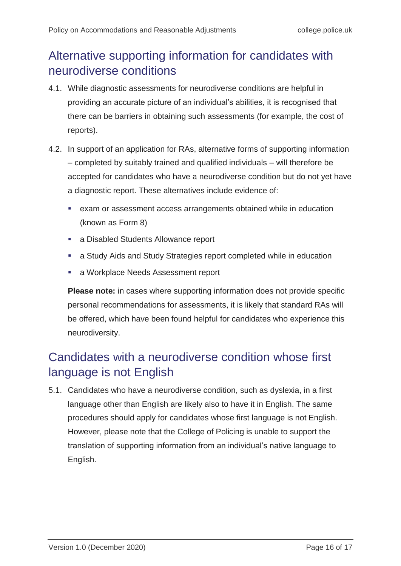### Alternative supporting information for candidates with neurodiverse conditions

- 4.1. While diagnostic assessments for neurodiverse conditions are helpful in providing an accurate picture of an individual's abilities, it is recognised that there can be barriers in obtaining such assessments (for example, the cost of reports).
- 4.2. In support of an application for RAs, alternative forms of supporting information – completed by suitably trained and qualified individuals – will therefore be accepted for candidates who have a neurodiverse condition but do not yet have a diagnostic report. These alternatives include evidence of:
	- exam or assessment access arrangements obtained while in education (known as Form 8)
	- a Disabled Students Allowance report
	- a Study Aids and Study Strategies report completed while in education
	- **a** Workplace Needs Assessment report

**Please note:** in cases where supporting information does not provide specific personal recommendations for assessments, it is likely that standard RAs will be offered, which have been found helpful for candidates who experience this neurodiversity.

### Candidates with a neurodiverse condition whose first language is not English

5.1. Candidates who have a neurodiverse condition, such as dyslexia, in a first language other than English are likely also to have it in English. The same procedures should apply for candidates whose first language is not English. However, please note that the College of Policing is unable to support the translation of supporting information from an individual's native language to English.